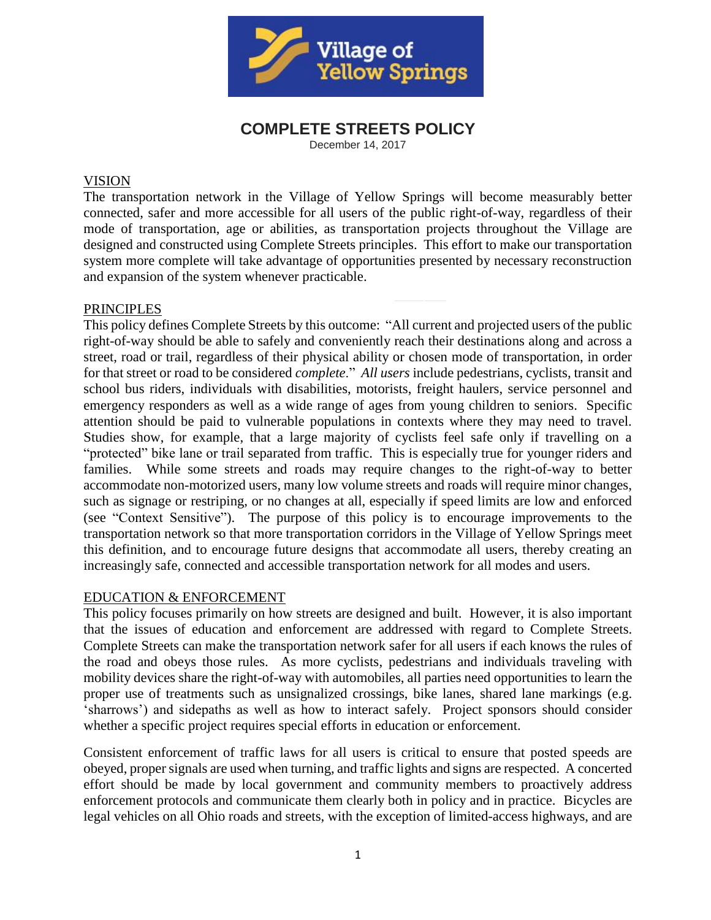

# **COMPLETE STREETS POLICY**

December 14, 2017

#### VISION

The transportation network in the Village of Yellow Springs will become measurably better connected, safer and more accessible for all users of the public right-of-way, regardless of their mode of transportation, age or abilities, as transportation projects throughout the Village are designed and constructed using Complete Streets principles. This effort to make our transportation system more complete will take advantage of opportunities presented by necessary reconstruction and expansion of the system whenever practicable.

### **PRINCIPLES**

This policy defines Complete Streets by this outcome: "All current and projected users of the public right-of-way should be able to safely and conveniently reach their destinations along and across a street, road or trail, regardless of their physical ability or chosen mode of transportation, in order for that street or road to be considered *complete*." *All users* include pedestrians, cyclists, transit and school bus riders, individuals with disabilities, motorists, freight haulers, service personnel and emergency responders as well as a wide range of ages from young children to seniors. Specific attention should be paid to vulnerable populations in contexts where they may need to travel. Studies show, for example, that a large majority of cyclists feel safe only if travelling on a "protected" bike lane or trail separated from traffic. This is especially true for younger riders and families. While some streets and roads may require changes to the right-of-way to better accommodate non-motorized users, many low volume streets and roads will require minor changes, such as signage or restriping, or no changes at all, especially if speed limits are low and enforced (see "Context Sensitive"). The purpose of this policy is to encourage improvements to the transportation network so that more transportation corridors in the Village of Yellow Springs meet this definition, and to encourage future designs that accommodate all users, thereby creating an increasingly safe, connected and accessible transportation network for all modes and users.

### EDUCATION & ENFORCEMENT

This policy focuses primarily on how streets are designed and built. However, it is also important that the issues of education and enforcement are addressed with regard to Complete Streets. Complete Streets can make the transportation network safer for all users if each knows the rules of the road and obeys those rules. As more cyclists, pedestrians and individuals traveling with mobility devices share the right-of-way with automobiles, all parties need opportunities to learn the proper use of treatments such as unsignalized crossings, bike lanes, shared lane markings (e.g. 'sharrows') and sidepaths as well as how to interact safely. Project sponsors should consider whether a specific project requires special efforts in education or enforcement.

Consistent enforcement of traffic laws for all users is critical to ensure that posted speeds are obeyed, proper signals are used when turning, and traffic lights and signs are respected. A concerted effort should be made by local government and community members to proactively address enforcement protocols and communicate them clearly both in policy and in practice. Bicycles are legal vehicles on all Ohio roads and streets, with the exception of limited-access highways, and are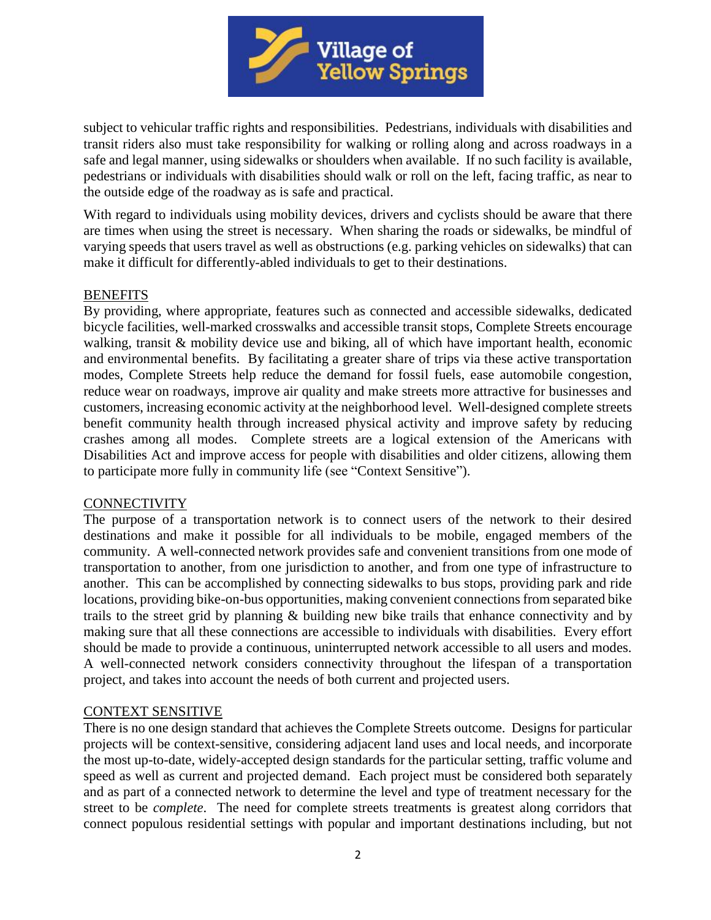

subject to vehicular traffic rights and responsibilities. Pedestrians, individuals with disabilities and transit riders also must take responsibility for walking or rolling along and across roadways in a safe and legal manner, using sidewalks or shoulders when available. If no such facility is available, pedestrians or individuals with disabilities should walk or roll on the left, facing traffic, as near to the outside edge of the roadway as is safe and practical.

With regard to individuals using mobility devices, drivers and cyclists should be aware that there are times when using the street is necessary. When sharing the roads or sidewalks, be mindful of varying speeds that users travel as well as obstructions (e.g. parking vehicles on sidewalks) that can make it difficult for differently-abled individuals to get to their destinations.

#### **BENEFITS**

By providing, where appropriate, features such as connected and accessible sidewalks, dedicated bicycle facilities, well-marked crosswalks and accessible transit stops, Complete Streets encourage walking, transit & mobility device use and biking, all of which have important health, economic and environmental benefits. By facilitating a greater share of trips via these active transportation modes, Complete Streets help reduce the demand for fossil fuels, ease automobile congestion, reduce wear on roadways, improve air quality and make streets more attractive for businesses and customers, increasing economic activity at the neighborhood level. Well-designed complete streets benefit community health through increased physical activity and improve safety by reducing crashes among all modes. Complete streets are a logical extension of the Americans with Disabilities Act and improve access for people with disabilities and older citizens, allowing them to participate more fully in community life (see "Context Sensitive").

### **CONNECTIVITY**

The purpose of a transportation network is to connect users of the network to their desired destinations and make it possible for all individuals to be mobile, engaged members of the community. A well-connected network provides safe and convenient transitions from one mode of transportation to another, from one jurisdiction to another, and from one type of infrastructure to another. This can be accomplished by connecting sidewalks to bus stops, providing park and ride locations, providing bike-on-bus opportunities, making convenient connections from separated bike trails to the street grid by planning & building new bike trails that enhance connectivity and by making sure that all these connections are accessible to individuals with disabilities. Every effort should be made to provide a continuous, uninterrupted network accessible to all users and modes. A well-connected network considers connectivity throughout the lifespan of a transportation project, and takes into account the needs of both current and projected users.

### CONTEXT SENSITIVE

There is no one design standard that achieves the Complete Streets outcome. Designs for particular projects will be context-sensitive, considering adjacent land uses and local needs, and incorporate the most up-to-date, widely-accepted design standards for the particular setting, traffic volume and speed as well as current and projected demand. Each project must be considered both separately and as part of a connected network to determine the level and type of treatment necessary for the street to be *complete*. The need for complete streets treatments is greatest along corridors that connect populous residential settings with popular and important destinations including, but not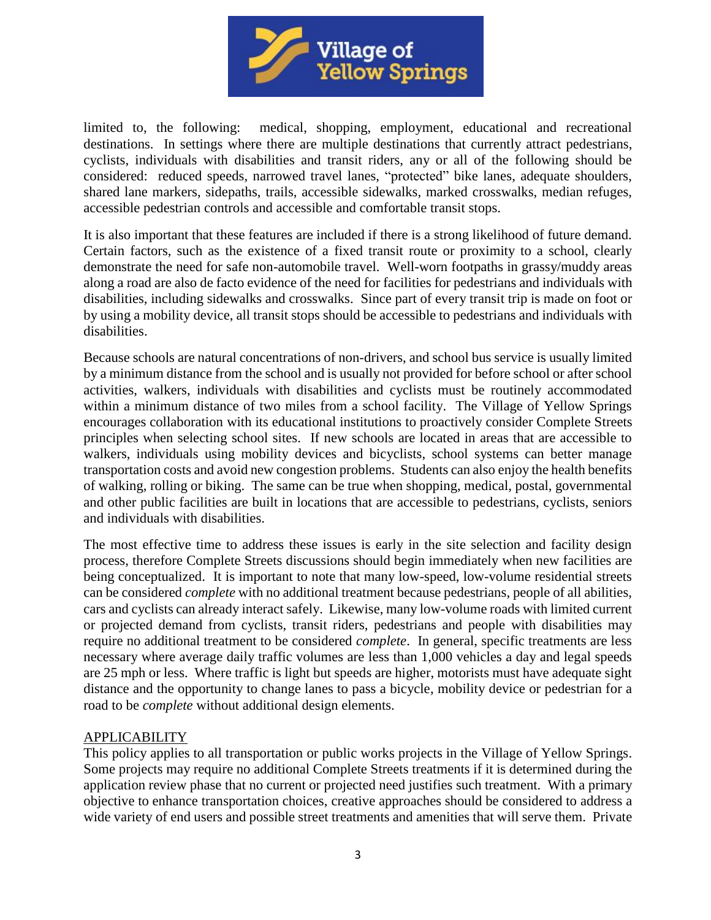

limited to, the following: medical, shopping, employment, educational and recreational destinations. In settings where there are multiple destinations that currently attract pedestrians, cyclists, individuals with disabilities and transit riders, any or all of the following should be considered: reduced speeds, narrowed travel lanes, "protected" bike lanes, adequate shoulders, shared lane markers, sidepaths, trails, accessible sidewalks, marked crosswalks, median refuges, accessible pedestrian controls and accessible and comfortable transit stops.

It is also important that these features are included if there is a strong likelihood of future demand. Certain factors, such as the existence of a fixed transit route or proximity to a school, clearly demonstrate the need for safe non-automobile travel. Well-worn footpaths in grassy/muddy areas along a road are also de facto evidence of the need for facilities for pedestrians and individuals with disabilities, including sidewalks and crosswalks. Since part of every transit trip is made on foot or by using a mobility device, all transit stops should be accessible to pedestrians and individuals with disabilities.

Because schools are natural concentrations of non-drivers, and school bus service is usually limited by a minimum distance from the school and is usually not provided for before school or after school activities, walkers, individuals with disabilities and cyclists must be routinely accommodated within a minimum distance of two miles from a school facility. The Village of Yellow Springs encourages collaboration with its educational institutions to proactively consider Complete Streets principles when selecting school sites. If new schools are located in areas that are accessible to walkers, individuals using mobility devices and bicyclists, school systems can better manage transportation costs and avoid new congestion problems. Students can also enjoy the health benefits of walking, rolling or biking. The same can be true when shopping, medical, postal, governmental and other public facilities are built in locations that are accessible to pedestrians, cyclists, seniors and individuals with disabilities.

The most effective time to address these issues is early in the site selection and facility design process, therefore Complete Streets discussions should begin immediately when new facilities are being conceptualized. It is important to note that many low-speed, low-volume residential streets can be considered *complete* with no additional treatment because pedestrians, people of all abilities, cars and cyclists can already interact safely. Likewise, many low-volume roads with limited current or projected demand from cyclists, transit riders, pedestrians and people with disabilities may require no additional treatment to be considered *complete*. In general, specific treatments are less necessary where average daily traffic volumes are less than 1,000 vehicles a day and legal speeds are 25 mph or less. Where traffic is light but speeds are higher, motorists must have adequate sight distance and the opportunity to change lanes to pass a bicycle, mobility device or pedestrian for a road to be *complete* without additional design elements.

### APPLICABILITY

This policy applies to all transportation or public works projects in the Village of Yellow Springs. Some projects may require no additional Complete Streets treatments if it is determined during the application review phase that no current or projected need justifies such treatment. With a primary objective to enhance transportation choices, creative approaches should be considered to address a wide variety of end users and possible street treatments and amenities that will serve them. Private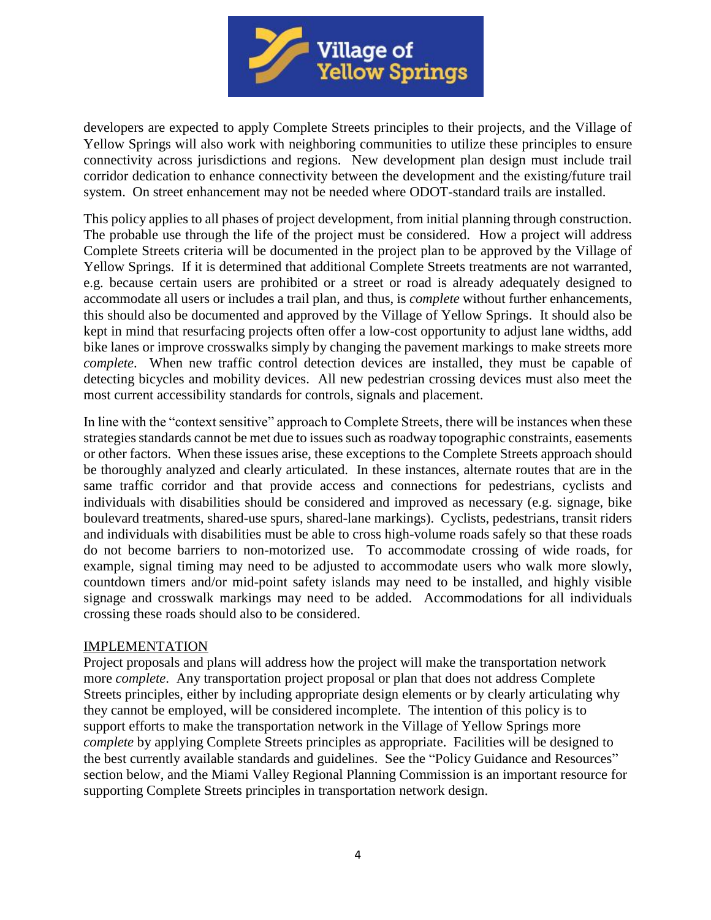

developers are expected to apply Complete Streets principles to their projects, and the Village of Yellow Springs will also work with neighboring communities to utilize these principles to ensure connectivity across jurisdictions and regions. New development plan design must include trail corridor dedication to enhance connectivity between the development and the existing/future trail system. On street enhancement may not be needed where ODOT-standard trails are installed.

This policy applies to all phases of project development, from initial planning through construction. The probable use through the life of the project must be considered. How a project will address Complete Streets criteria will be documented in the project plan to be approved by the Village of Yellow Springs. If it is determined that additional Complete Streets treatments are not warranted, e.g. because certain users are prohibited or a street or road is already adequately designed to accommodate all users or includes a trail plan, and thus, is *complete* without further enhancements, this should also be documented and approved by the Village of Yellow Springs. It should also be kept in mind that resurfacing projects often offer a low-cost opportunity to adjust lane widths, add bike lanes or improve crosswalks simply by changing the pavement markings to make streets more *complete*. When new traffic control detection devices are installed, they must be capable of detecting bicycles and mobility devices. All new pedestrian crossing devices must also meet the most current accessibility standards for controls, signals and placement.

In line with the "context sensitive" approach to Complete Streets, there will be instances when these strategies standards cannot be met due to issues such as roadway topographic constraints, easements or other factors. When these issues arise, these exceptions to the Complete Streets approach should be thoroughly analyzed and clearly articulated. In these instances, alternate routes that are in the same traffic corridor and that provide access and connections for pedestrians, cyclists and individuals with disabilities should be considered and improved as necessary (e.g. signage, bike boulevard treatments, shared-use spurs, shared-lane markings). Cyclists, pedestrians, transit riders and individuals with disabilities must be able to cross high-volume roads safely so that these roads do not become barriers to non-motorized use. To accommodate crossing of wide roads, for example, signal timing may need to be adjusted to accommodate users who walk more slowly, countdown timers and/or mid-point safety islands may need to be installed, and highly visible signage and crosswalk markings may need to be added. Accommodations for all individuals crossing these roads should also to be considered.

#### IMPLEMENTATION

Project proposals and plans will address how the project will make the transportation network more *complete*. Any transportation project proposal or plan that does not address Complete Streets principles, either by including appropriate design elements or by clearly articulating why they cannot be employed, will be considered incomplete. The intention of this policy is to support efforts to make the transportation network in the Village of Yellow Springs more *complete* by applying Complete Streets principles as appropriate. Facilities will be designed to the best currently available standards and guidelines. See the "Policy Guidance and Resources" section below, and the Miami Valley Regional Planning Commission is an important resource for supporting Complete Streets principles in transportation network design.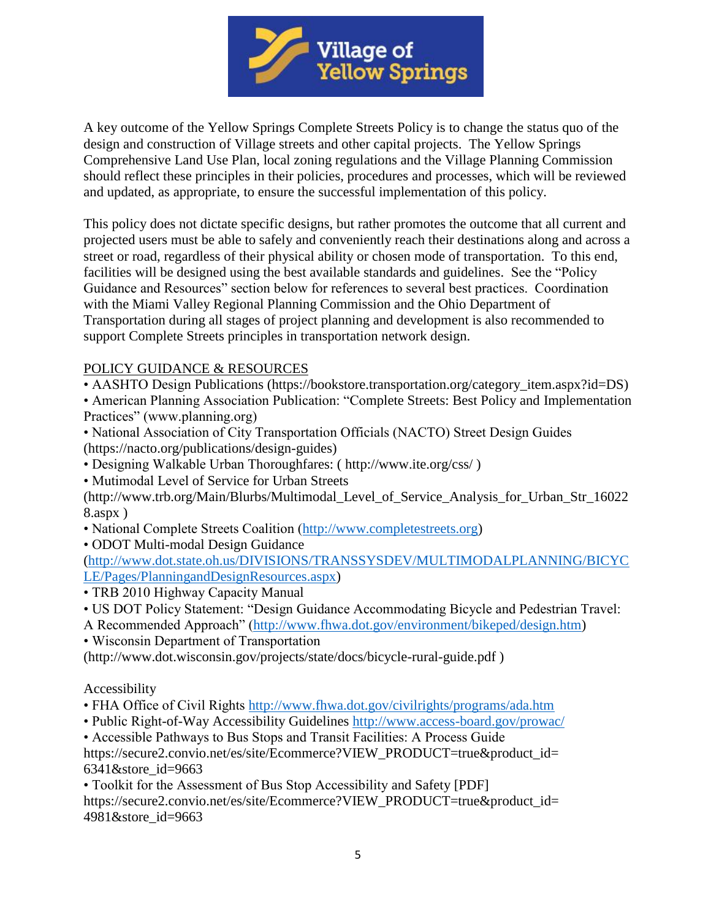

A key outcome of the Yellow Springs Complete Streets Policy is to change the status quo of the design and construction of Village streets and other capital projects. The Yellow Springs Comprehensive Land Use Plan, local zoning regulations and the Village Planning Commission should reflect these principles in their policies, procedures and processes, which will be reviewed and updated, as appropriate, to ensure the successful implementation of this policy.

This policy does not dictate specific designs, but rather promotes the outcome that all current and projected users must be able to safely and conveniently reach their destinations along and across a street or road, regardless of their physical ability or chosen mode of transportation. To this end, facilities will be designed using the best available standards and guidelines. See the "Policy Guidance and Resources" section below for references to several best practices. Coordination with the Miami Valley Regional Planning Commission and the Ohio Department of Transportation during all stages of project planning and development is also recommended to support Complete Streets principles in transportation network design.

# POLICY GUIDANCE & RESOURCES

• AASHTO Design Publications (https://bookstore.transportation.org/category\_item.aspx?id=DS)

• American Planning Association Publication: "Complete Streets: Best Policy and Implementation Practices" (www.planning.org)

- National Association of City Transportation Officials (NACTO) Street Design Guides (https://nacto.org/publications/design-guides)
- Designing Walkable Urban Thoroughfares: ( http://www.ite.org/css/ )
- Mutimodal Level of Service for Urban Streets

(http://www.trb.org/Main/Blurbs/Multimodal\_Level\_of\_Service\_Analysis\_for\_Urban\_Str\_16022 8.aspx )

- National Complete Streets Coalition [\(http://www.completestreets.org\)](http://www.completestreets.org/)
- ODOT Multi-modal Design Guidance

[\(http://www.dot.state.oh.us/DIVISIONS/TRANSSYSDEV/MULTIMODALPLANNING/BICYC](http://www.dot.state.oh.us/DIVISIONS/TRANSSYSDEV/MULTIMODALPLANNING/BICYCLE/Pages/PlanningandDesignResources.aspx) [LE/Pages/PlanningandDesignResources.aspx\)](http://www.dot.state.oh.us/DIVISIONS/TRANSSYSDEV/MULTIMODALPLANNING/BICYCLE/Pages/PlanningandDesignResources.aspx)

- TRB 2010 Highway Capacity Manual
- US DOT Policy Statement: "Design Guidance Accommodating Bicycle and Pedestrian Travel:
- A Recommended Approach" [\(http://www.fhwa.dot.gov/environment/bikeped/design.htm\)](http://www.fhwa.dot.gov/environment/bikeped/design.htm)
- Wisconsin Department of Transportation

(http://www.dot.wisconsin.gov/projects/state/docs/bicycle-rural-guide.pdf )

### Accessibility

- FHA Office of Civil Rights<http://www.fhwa.dot.gov/civilrights/programs/ada.htm>
- Public Right-of-Way Accessibility Guidelines<http://www.access-board.gov/prowac/>

• Accessible Pathways to Bus Stops and Transit Facilities: A Process Guide https://secure2.convio.net/es/site/Ecommerce?VIEW\_PRODUCT=true&product\_id= 6341&store\_id=9663

• Toolkit for the Assessment of Bus Stop Accessibility and Safety [PDF] https://secure2.convio.net/es/site/Ecommerce?VIEW\_PRODUCT=true&product\_id= 4981&store\_id=9663